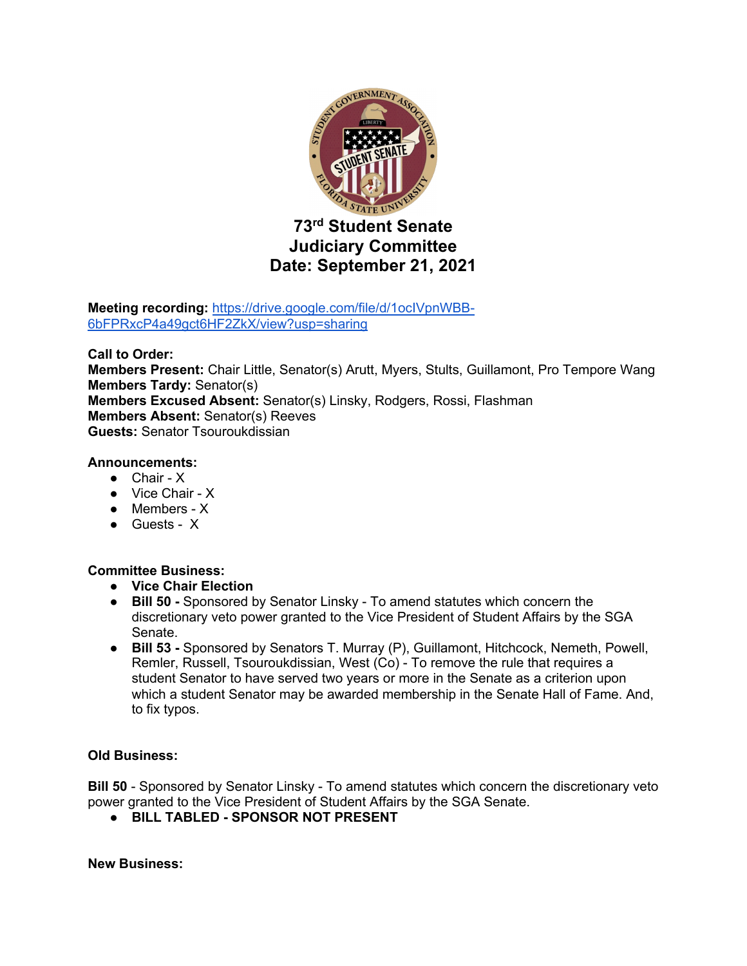

**Meeting recording:** https://drive.google.com/file/d/1ocIVpnWBB-6bFPRxcP4a49gct6HF2ZkX/view?usp=sharing

**Call to Order: Members Present:** Chair Little, Senator(s) Arutt, Myers, Stults, Guillamont, Pro Tempore Wang **Members Tardy:** Senator(s) **Members Excused Absent:** Senator(s) Linsky, Rodgers, Rossi, Flashman **Members Absent:** Senator(s) Reeves **Guests:** Senator Tsouroukdissian

## **Announcements:**

- Chair X
- Vice Chair X
- Members X
- Guests X

# **Committee Business:**

- **Vice Chair Election**
- **Bill 50 -** Sponsored by Senator Linsky To amend statutes which concern the discretionary veto power granted to the Vice President of Student Affairs by the SGA Senate.
- **Bill 53 -** Sponsored by Senators T. Murray (P), Guillamont, Hitchcock, Nemeth, Powell, Remler, Russell, Tsouroukdissian, West (Co) - To remove the rule that requires a student Senator to have served two years or more in the Senate as a criterion upon which a student Senator may be awarded membership in the Senate Hall of Fame. And, to fix typos.

# **Old Business:**

**Bill 50** - Sponsored by Senator Linsky - To amend statutes which concern the discretionary veto power granted to the Vice President of Student Affairs by the SGA Senate.

● **BILL TABLED - SPONSOR NOT PRESENT** 

**New Business:**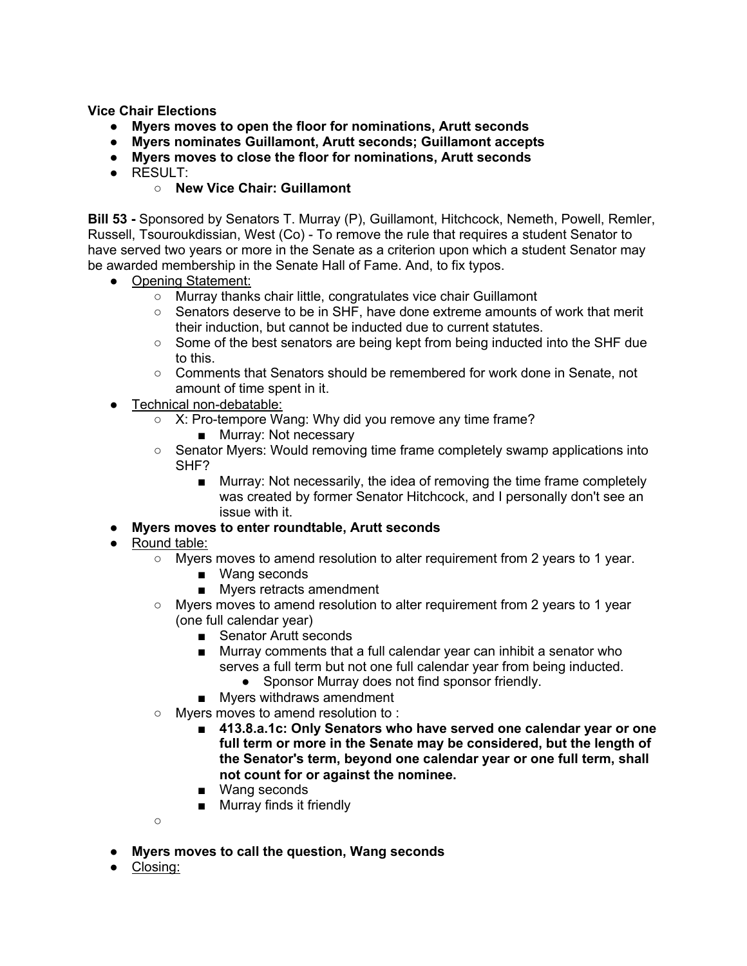**Vice Chair Elections**

- **Myers moves to open the floor for nominations, Arutt seconds**
- **Myers nominates Guillamont, Arutt seconds; Guillamont accepts**
- **Myers moves to close the floor for nominations, Arutt seconds**
- RESULT:
	- **New Vice Chair: Guillamont**

**Bill 53 -** Sponsored by Senators T. Murray (P), Guillamont, Hitchcock, Nemeth, Powell, Remler, Russell, Tsouroukdissian, West (Co) - To remove the rule that requires a student Senator to have served two years or more in the Senate as a criterion upon which a student Senator may be awarded membership in the Senate Hall of Fame. And, to fix typos.

- Opening Statement:
	- Murray thanks chair little, congratulates vice chair Guillamont
	- Senators deserve to be in SHF, have done extreme amounts of work that merit their induction, but cannot be inducted due to current statutes.
	- Some of the best senators are being kept from being inducted into the SHF due to this.
	- Comments that Senators should be remembered for work done in Senate, not amount of time spent in it.
- Technical non-debatable:
	- X: Pro-tempore Wang: Why did you remove any time frame?
		- Murray: Not necessary
	- Senator Myers: Would removing time frame completely swamp applications into SHF?
		- Murray: Not necessarily, the idea of removing the time frame completely was created by former Senator Hitchcock, and I personally don't see an issue with it.
- **Myers moves to enter roundtable, Arutt seconds**
- Round table:
	- Myers moves to amend resolution to alter requirement from 2 years to 1 year.
		- Wang seconds
		- Myers retracts amendment
	- Myers moves to amend resolution to alter requirement from 2 years to 1 year (one full calendar year)
		- Senator Arutt seconds
		- Murray comments that a full calendar year can inhibit a senator who serves a full term but not one full calendar year from being inducted.
			- Sponsor Murray does not find sponsor friendly.
		- Myers withdraws amendment
	- Myers moves to amend resolution to :
		- 413.8.a.1c: Only Senators who have served one calendar year or one **full term or more in the Senate may be considered, but the length of the Senator's term, beyond one calendar year or one full term, shall not count for or against the nominee.**
		- Wang seconds
		- Murray finds it friendly

 $\circ$ 

- **Myers moves to call the question, Wang seconds**
- Closing: